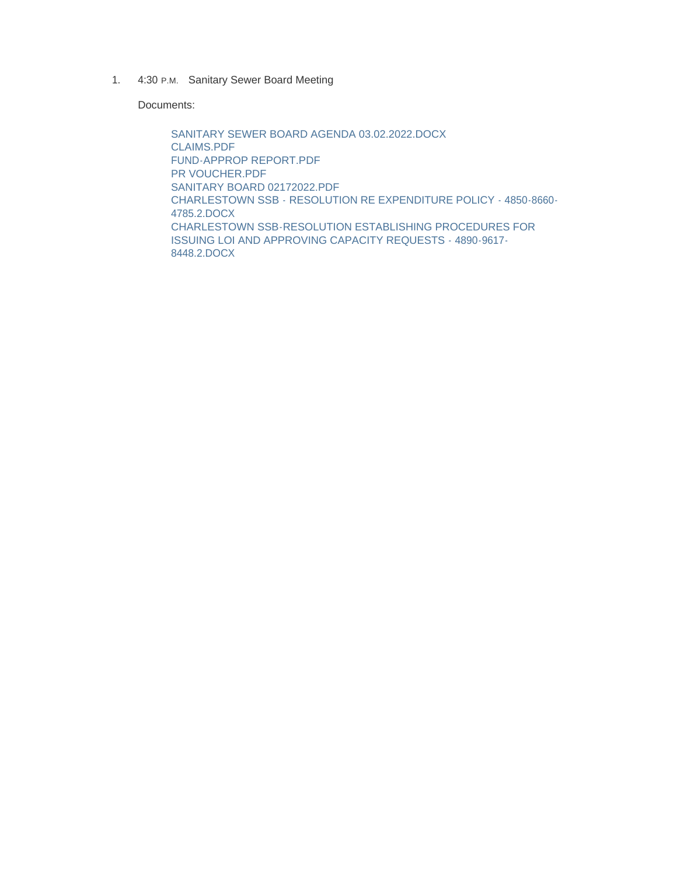1. 4:30 P.M. Sanitary Sewer Board Meeting

Documents:

SANITARY SEWER BOARD AGENDA 03.02.2022.DOCX CLAIMS.PDF FUND-APPROP REPORT.PDF PR VOUCHER.PDF SANITARY BOARD 02172022.PDF CHARLESTOWN SSB - RESOLUTION RE EXPENDITURE POLICY - 4850-8660- 4785.2.DOCX CHARLESTOWN SSB-RESOLUTION ESTABLISHING PROCEDURES FOR ISSUING LOI AND APPROVING CAPACITY REQUESTS - 4890-9617- 8448.2.DOCX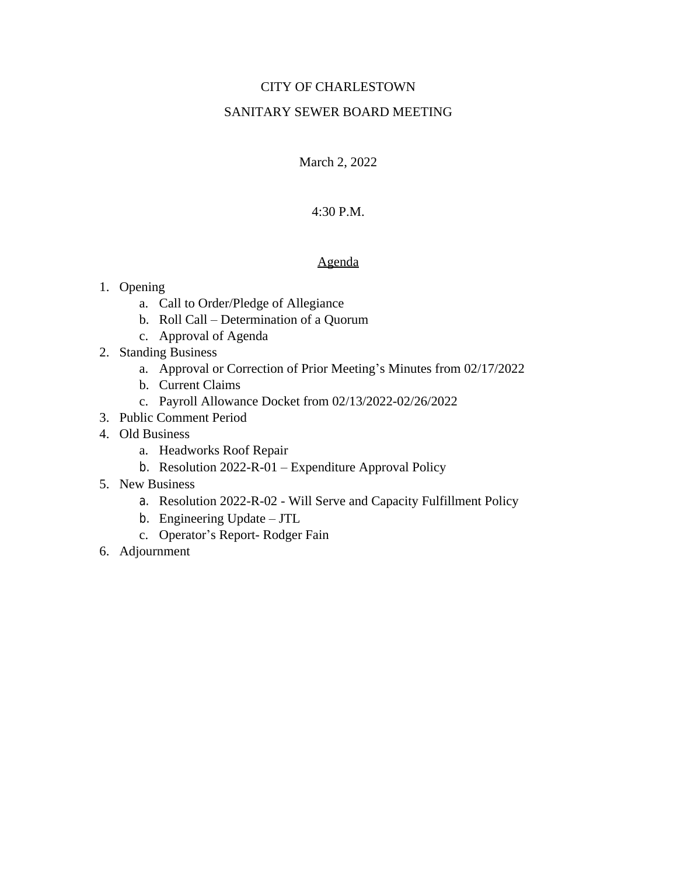### CITY OF CHARLESTOWN

## SANITARY SEWER BOARD MEETING

March 2, 2022

### 4:30 P.M.

#### Agenda

- 1. Opening
	- a. Call to Order/Pledge of Allegiance
	- b. Roll Call Determination of a Quorum
	- c. Approval of Agenda
- 2. Standing Business
	- a. Approval or Correction of Prior Meeting's Minutes from 02/17/2022
	- b. Current Claims
	- c. Payroll Allowance Docket from 02/13/2022-02/26/2022
- 3. Public Comment Period
- 4. Old Business
	- a. Headworks Roof Repair
	- b. Resolution 2022-R-01 Expenditure Approval Policy
- 5. New Business
	- a. Resolution 2022-R-02 Will Serve and Capacity Fulfillment Policy
	- b. Engineering Update JTL
	- c. Operator's Report- Rodger Fain
- 6. Adjournment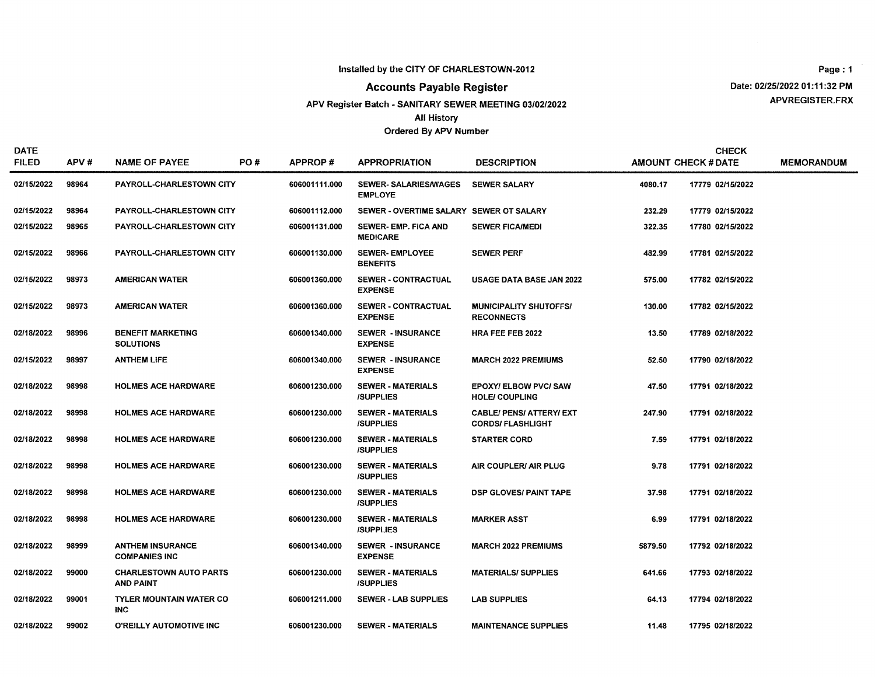#### Installed by the CITY OF CHARLESTOWN-2012

#### **Accounts Payable Register**

APV Register Batch - SANITARY SEWER MEETING 03/02/2022

#### **All History**

#### Ordered By APV Number

Page: 1 Date: 02/25/2022 01:11:32 PM APVREGISTER.FRX

| <b>DATE</b><br><b>FILED</b> | APV#  | <b>NAME OF PAYEE</b>                              | PO# | <b>APPROP#</b> | <b>APPROPRIATION</b>                          | <b>DESCRIPTION</b>                                         |         | <b>CHECK</b><br><b>AMOUNT CHECK # DATE</b> | <b>MEMORANDUN</b> |
|-----------------------------|-------|---------------------------------------------------|-----|----------------|-----------------------------------------------|------------------------------------------------------------|---------|--------------------------------------------|-------------------|
| 02/15/2022                  | 98964 | PAYROLL-CHARLESTOWN CITY                          |     | 606001111.000  | <b>SEWER-SALARIES/WAGES</b><br><b>EMPLOYE</b> | <b>SEWER SALARY</b>                                        | 4080.17 | 17779 02/15/2022                           |                   |
| 02/15/2022                  | 98964 | PAYROLL-CHARLESTOWN CITY                          |     | 606001112.000  | SEWER - OVERTIME SALARY SEWER OT SALARY       |                                                            | 232.29  | 17779 02/15/2022                           |                   |
| 02/15/2022                  | 98965 | PAYROLL-CHARLESTOWN CITY                          |     | 606001131.000  | <b>SEWER-EMP, FICA AND</b><br><b>MEDICARE</b> | <b>SEWER FICA/MEDI</b>                                     | 322.35  | 17780 02/15/2022                           |                   |
| 02/15/2022                  | 98966 | PAYROLL-CHARLESTOWN CITY                          |     | 606001130.000  | <b>SEWER-EMPLOYEE</b><br><b>BENEFITS</b>      | <b>SEWER PERF</b>                                          | 482.99  | 17781 02/15/2022                           |                   |
| 02/15/2022                  | 98973 | <b>AMERICAN WATER</b>                             |     | 606001360.000  | SEWER - CONTRACTUAL<br><b>EXPENSE</b>         | <b>USAGE DATA BASE JAN 2022</b>                            | 575.00  | 17782 02/15/2022                           |                   |
| 02/15/2022                  | 98973 | <b>AMERICAN WATER</b>                             |     | 606001360.000  | <b>SEWER - CONTRACTUAL</b><br><b>EXPENSE</b>  | <b>MUNICIPALITY SHUTOFFS/</b><br><b>RECONNECTS</b>         | 130.00  | 17782 02/15/2022                           |                   |
| 02/18/2022                  | 98996 | <b>BENEFIT MARKETING</b><br><b>SOLUTIONS</b>      |     | 606001340.000  | <b>SEWER - INSURANCE</b><br><b>EXPENSE</b>    | <b>HRA FEE FEB 2022</b>                                    | 13.50   | 17789 02/18/2022                           |                   |
| 02/15/2022                  | 98997 | <b>ANTHEM LIFE</b>                                |     | 606001340.000  | <b>SEWER - INSURANCE</b><br><b>EXPENSE</b>    | <b>MARCH 2022 PREMIUMS</b>                                 | 52.50   | 17790 02/18/2022                           |                   |
| 02/18/2022                  | 98998 | <b>HOLMES ACE HARDWARE</b>                        |     | 606001230.000  | <b>SEWER - MATERIALS</b><br><b>/SUPPLIES</b>  | <b>EPOXY/ ELBOW PVC/ SAW</b><br><b>HOLE/COUPLING</b>       | 47.50   | 17791 02/18/2022                           |                   |
| 02/18/2022                  | 98998 | <b>HOLMES ACE HARDWARE</b>                        |     | 606001230.000  | <b>SEWER - MATERIALS</b><br><b>ISUPPLIES</b>  | <b>CABLE/ PENS/ ATTERY/ EXT</b><br><b>CORDS/FLASHLIGHT</b> | 247.90  | 17791 02/18/2022                           |                   |
| 02/18/2022                  | 98998 | <b>HOLMES ACE HARDWARE</b>                        |     | 606001230.000  | <b>SEWER - MATERIALS</b><br><b>ISUPPLIES</b>  | <b>STARTER CORD</b>                                        | 7.59    | 17791 02/18/2022                           |                   |
| 02/18/2022                  | 98998 | <b>HOLMES ACE HARDWARE</b>                        |     | 606001230,000  | <b>SEWER - MATERIALS</b><br><b>/SUPPLIES</b>  | AIR COUPLER/ AIR PLUG                                      | 9.78    | 17791 02/18/2022                           |                   |
| 02/18/2022                  | 98998 | <b>HOLMES ACE HARDWARE</b>                        |     | 606001230.000  | <b>SEWER - MATERIALS</b><br><b>ISUPPLIES</b>  | <b>DSP GLOVES/ PAINT TAPE</b>                              | 37.98   | 17791 02/18/2022                           |                   |
| 02/18/2022                  | 98998 | <b>HOLMES ACE HARDWARE</b>                        |     | 606001230.000  | <b>SEWER - MATERIALS</b><br><b>ISUPPLIES</b>  | <b>MARKER ASST</b>                                         | 6.99    | 17791 02/18/2022                           |                   |
| 02/18/2022                  | 98999 | <b>ANTHEM INSURANCE</b><br><b>COMPANIES INC</b>   |     | 606001340.000  | <b>SEWER - INSURANCE</b><br><b>EXPENSE</b>    | <b>MARCH 2022 PREMIUMS</b>                                 | 5879.50 | 17792 02/18/2022                           |                   |
| 02/18/2022                  | 99000 | <b>CHARLESTOWN AUTO PARTS</b><br><b>AND PAINT</b> |     | 606001230.000  | <b>SEWER - MATERIALS</b><br><b>/SUPPLIES</b>  | <b>MATERIALS/ SUPPLIES</b>                                 | 641.66  | 17793 02/18/2022                           |                   |
| 02/18/2022                  | 99001 | <b>TYLER MOUNTAIN WATER CO</b><br><b>INC</b>      |     | 606001211.000  | SEWER - LAB SUPPLIES                          | <b>LAB SUPPLIES</b>                                        | 64.13   | 17794 02/18/2022                           |                   |
| 02/18/2022                  | 99002 | O'REILLY AUTOMOTIVE INC                           |     | 606001230.000  | <b>SEWER - MATERIALS</b>                      | <b>MAINTENANCE SUPPLIES</b>                                | 11.48   | 17795 02/18/2022                           |                   |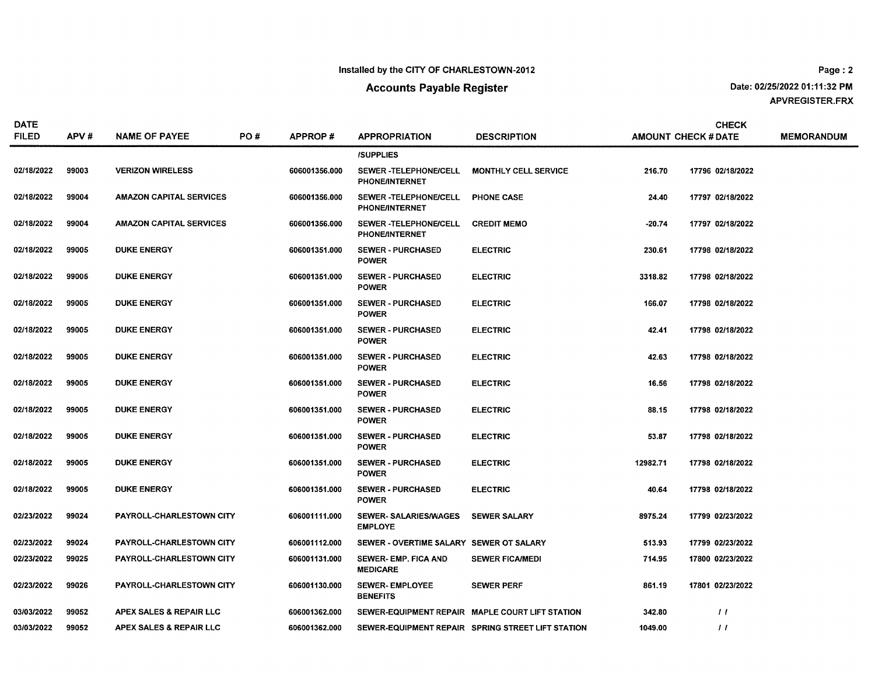#### Installed by the CITY OF CHARLESTOWN-2012

### **Accounts Payable Register**

Date: 02/25/2022 01:11:32 PM APVREGISTER.FRX

| <b>DATE</b><br><b>FILED</b> | APV#  | <b>NAME OF PAYEE</b>            | PO# | <b>APPROP#</b> | <b>APPROPRIATION</b>                           | <b>DESCRIPTION</b>                                |          | CHECK<br><b>AMOUNT CHECK # DATE</b> | <b>MEMORANDUM</b> |
|-----------------------------|-------|---------------------------------|-----|----------------|------------------------------------------------|---------------------------------------------------|----------|-------------------------------------|-------------------|
|                             |       |                                 |     |                | <b>/SUPPLIES</b>                               |                                                   |          |                                     |                   |
| 02/18/2022                  | 99003 | <b>VERIZON WIRELESS</b>         |     | 606001356.000  | SEWER -TELEPHONE/CELL<br><b>PHONE/INTERNET</b> | <b>MONTHLY CELL SERVICE</b>                       | 216.70   | 17796 02/18/2022                    |                   |
| 02/18/2022                  | 99004 | <b>AMAZON CAPITAL SERVICES</b>  |     | 606001356.000  | SEWER -TELEPHONE/CELL<br><b>PHONE/INTERNET</b> | <b>PHONE CASE</b>                                 | 24.40    | 17797 02/18/2022                    |                   |
| 02/18/2022                  | 99004 | <b>AMAZON CAPITAL SERVICES</b>  |     | 606001356.000  | SEWER -TELEPHONE/CELL<br><b>PHONE/INTERNET</b> | <b>CREDIT MEMO</b>                                | $-20.74$ | 17797 02/18/2022                    |                   |
| 02/18/2022                  | 99005 | <b>DUKE ENERGY</b>              |     | 606001351.000  | <b>SEWER - PURCHASED</b><br><b>POWER</b>       | <b>ELECTRIC</b>                                   | 230.61   | 17798 02/18/2022                    |                   |
| 02/18/2022                  | 99005 | <b>DUKE ENERGY</b>              |     | 606001351.000  | <b>SEWER - PURCHASED</b><br><b>POWER</b>       | <b>ELECTRIC</b>                                   | 3318.82  | 17798 02/18/2022                    |                   |
| 02/18/2022                  | 99005 | <b>DUKE ENERGY</b>              |     | 606001351.000  | <b>SEWER - PURCHASED</b><br><b>POWER</b>       | <b>ELECTRIC</b>                                   | 166.07   | 17798 02/18/2022                    |                   |
| 02/18/2022                  | 99005 | <b>DUKE ENERGY</b>              |     | 606001351.000  | <b>SEWER - PURCHASED</b><br><b>POWER</b>       | <b>ELECTRIC</b>                                   | 42.41    | 17798 02/18/2022                    |                   |
| 02/18/2022                  | 99005 | <b>DUKE ENERGY</b>              |     | 606001351.000  | <b>SEWER - PURCHASED</b><br><b>POWER</b>       | <b>ELECTRIC</b>                                   | 42.63    | 17798 02/18/2022                    |                   |
| 02/18/2022                  | 99005 | <b>DUKE ENERGY</b>              |     | 606001351.000  | <b>SEWER - PURCHASED</b><br><b>POWER</b>       | <b>ELECTRIC</b>                                   | 16.56    | 17798 02/18/2022                    |                   |
| 02/18/2022                  | 99005 | <b>DUKE ENERGY</b>              |     | 606001351.000  | <b>SEWER - PURCHASED</b><br><b>POWER</b>       | <b>ELECTRIC</b>                                   | 88.15    | 17798 02/18/2022                    |                   |
| 02/18/2022                  | 99005 | <b>DUKE ENERGY</b>              |     | 606001351.000  | <b>SEWER - PURCHASED</b><br><b>POWER</b>       | <b>ELECTRIC</b>                                   | 53.87    | 17798 02/18/2022                    |                   |
| 02/18/2022                  | 99005 | <b>DUKE ENERGY</b>              |     | 606001351.000  | <b>SEWER - PURCHASED</b><br><b>POWER</b>       | <b>ELECTRIC</b>                                   | 12982.71 | 17798 02/18/2022                    |                   |
| 02/18/2022                  | 99005 | <b>DUKE ENERGY</b>              |     | 606001351.000  | <b>SEWER - PURCHASED</b><br><b>POWER</b>       | <b>ELECTRIC</b>                                   | 40.64    | 17798 02/18/2022                    |                   |
| 02/23/2022                  | 99024 | <b>PAYROLL-CHARLESTOWN CITY</b> |     | 606001111.000  | <b>SEWER-SALARIES/WAGES</b><br><b>EMPLOYE</b>  | <b>SEWER SALARY</b>                               | 8975.24  | 17799 02/23/2022                    |                   |
| 02/23/2022                  | 99024 | PAYROLL-CHARLESTOWN CITY        |     | 606001112.000  | SEWER - OVERTIME SALARY SEWER OT SALARY        |                                                   | 513.93   | 17799 02/23/2022                    |                   |
| 02/23/2022                  | 99025 | PAYROLL-CHARLESTOWN CITY        |     | 606001131.000  | SEWER- EMP. FICA AND<br><b>MEDICARE</b>        | <b>SEWER FICA/MEDI</b>                            | 714.95   | 17800 02/23/2022                    |                   |
| 02/23/2022                  | 99026 | PAYROLL-CHARLESTOWN CITY        |     | 606001130.000  | <b>SEWER-EMPLOYEE</b><br><b>BENEFITS</b>       | <b>SEWER PERF</b>                                 | 861.19   | 17801 02/23/2022                    |                   |
| 03/03/2022                  | 99052 | APEX SALES & REPAIR LLC         |     | 606001362.000  |                                                | SEWER-EQUIPMENT REPAIR MAPLE COURT LIFT STATION   | 342.80   | $\prime$                            |                   |
| 03/03/2022                  | 99052 | APEX SALES & REPAIR LLC         |     | 606001362.000  |                                                | SEWER-EQUIPMENT REPAIR SPRING STREET LIFT STATION | 1049.00  | $\frac{1}{2}$                       |                   |

Page: 2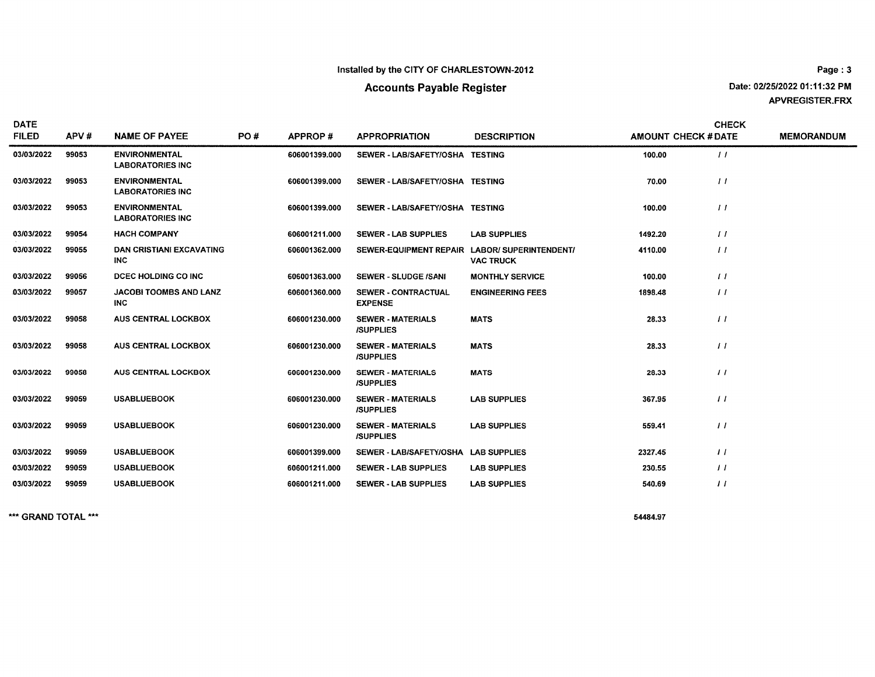#### Installed by the CITY OF CHARLESTOWN-2012

### **Accounts Payable Register**

Page: 3 Date: 02/25/2022 01:11:32 PM APVREGISTER.FRX

| <b>DATE</b><br><b>FILED</b> | APV#  | <b>NAME OF PAYEE</b>                            | PO# | <b>APPROP#</b> | <b>APPROPRIATION</b>                          | <b>DESCRIPTION</b>      | <b>AMOUNT CHECK #DATE</b> | <b>CHECK</b>     | <b>MEMORANDUM</b> |
|-----------------------------|-------|-------------------------------------------------|-----|----------------|-----------------------------------------------|-------------------------|---------------------------|------------------|-------------------|
| 03/03/2022                  | 99053 | <b>ENVIRONMENTAL</b><br><b>LABORATORIES INC</b> |     | 606001399.000  | SEWER-LAB/SAFETY/OSHA TESTING                 |                         | 100.00                    | $\frac{1}{2}$    |                   |
| 03/03/2022                  | 99053 | <b>ENVIRONMENTAL</b><br><b>LABORATORIES INC</b> |     | 606001399.000  | SEWER-LAB/SAFETY/OSHA TESTING                 |                         | 70.00                     | $\frac{1}{2}$    |                   |
| 03/03/2022                  | 99053 | <b>ENVIRONMENTAL</b><br><b>LABORATORIES INC</b> |     | 606001399.000  | SEWER-LAB/SAFETY/OSHA TESTING                 |                         | 100.00                    | $\frac{1}{2}$    |                   |
| 03/03/2022                  | 99054 | <b>HACH COMPANY</b>                             |     | 606001211.000  | <b>SEWER - LAB SUPPLIES</b>                   | <b>LAB SUPPLIES</b>     | 1492.20                   | $\frac{1}{2}$    |                   |
| 03/03/2022                  | 99055 | <b>DAN CRISTIANI EXCAVATING</b><br>INC.         |     | 606001362.000  | SEWER-EQUIPMENT REPAIR LABOR/ SUPERINTENDENT/ | <b>VAC TRUCK</b>        | 4110.00                   | $\frac{1}{2}$    |                   |
| 03/03/2022                  | 99056 | DCEC HOLDING CO INC                             |     | 606001363.000  | <b>SEWER - SLUDGE /SANI</b>                   | <b>MONTHLY SERVICE</b>  | 100.00                    | $\frac{1}{2}$    |                   |
| 03/03/2022                  | 99057 | <b>JACOBI TOOMBS AND LANZ</b><br>INC.           |     | 606001360.000  | <b>SEWER - CONTRACTUAL</b><br><b>EXPENSE</b>  | <b>ENGINEERING FEES</b> | 1898.48                   | $\frac{1}{2}$    |                   |
| 03/03/2022                  | 99058 | <b>AUS CENTRAL LOCKBOX</b>                      |     | 606001230.000  | <b>SEWER - MATERIALS</b><br><b>ISUPPLIES</b>  | <b>MATS</b>             | 28.33                     | $\frac{1}{2}$    |                   |
| 03/03/2022                  | 99058 | <b>AUS CENTRAL LOCKBOX</b>                      |     | 606001230.000  | <b>SEWER - MATERIALS</b><br><b>ISUPPLIES</b>  | <b>MATS</b>             | 28.33                     | $\overline{11}$  |                   |
| 03/03/2022                  | 99058 | AUS CENTRAL LOCKBOX                             |     | 606001230.000  | <b>SEWER - MATERIALS</b><br><b>ISUPPLIES</b>  | <b>MATS</b>             | 28.33                     | $\frac{1}{2}$    |                   |
| 03/03/2022                  | 99059 | <b>USABLUEBOOK</b>                              |     | 606001230.000  | <b>SEWER - MATERIALS</b><br><b>ISUPPLIES</b>  | <b>LAB SUPPLIES</b>     | 367.95                    | $\frac{1}{2}$    |                   |
| 03/03/2022                  | 99059 | <b>USABLUEBOOK</b>                              |     | 606001230.000  | <b>SEWER - MATERIALS</b><br><b>ISUPPLIES</b>  | <b>LAB SUPPLIES</b>     | 559.41                    | $\left  \right $ |                   |
| 03/03/2022                  | 99059 | <b>USABLUEBOOK</b>                              |     | 606001399.000  | SEWER - LAB/SAFETY/OSHA LAB SUPPLIES          |                         | 2327.45                   | $\frac{1}{2}$    |                   |
| 03/03/2022                  | 99059 | <b>USABLUEBOOK</b>                              |     | 606001211.000  | <b>SEWER - LAB SUPPLIES</b>                   | <b>LAB SUPPLIES</b>     | 230.55                    | $\frac{1}{2}$    |                   |
| 03/03/2022                  | 99059 | <b>USABLUEBOOK</b>                              |     | 606001211.000  | <b>SEWER - LAB SUPPLIES</b>                   | <b>LAB SUPPLIES</b>     | 540.69                    | $\overline{11}$  |                   |
|                             |       |                                                 |     |                |                                               |                         |                           |                  |                   |

\*\*\* GRAND TOTAL \*\*\*

54484.97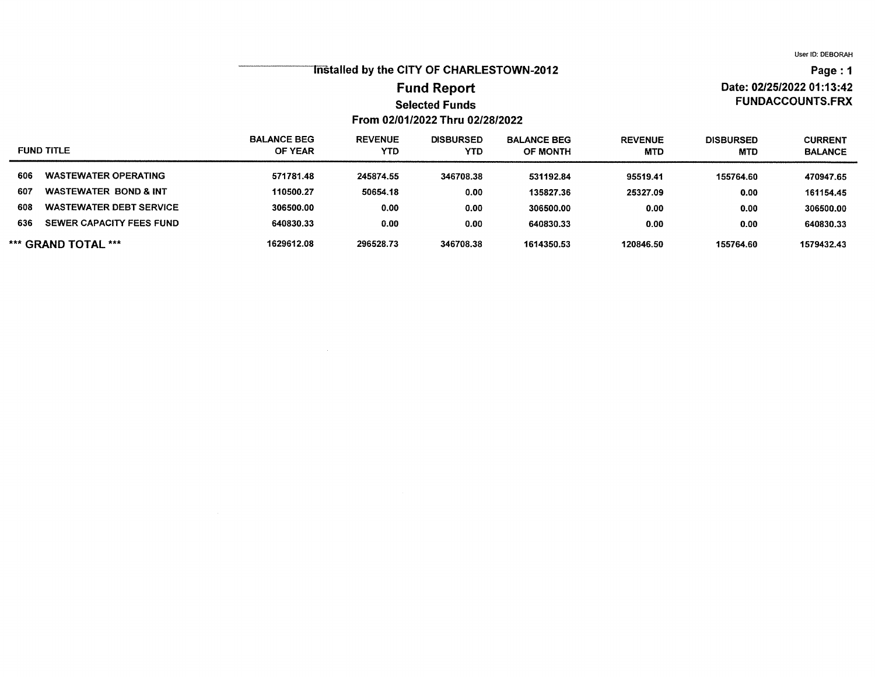## Tristalled by the CITY OF CHARLESTOWN-2012

### **Fund Report Selected Funds** From 02/01/2022 Thru 02/28/2022

## Page: 1 Date: 02/25/2022 01:13:42 **FUNDACCOUNTS.FRX**

| <b>FUND TITLE</b>                       | <b>BALANCE BEG</b><br>OF YEAR | <b>REVENUE</b><br><b>YTD</b> | <b>DISBURSED</b><br><b>YTD</b> | <b>BALANCE BEG</b><br><b>OF MONTH</b> | <b>REVENUE</b><br><b>MTD</b> | <b>DISBURSED</b><br><b>MTD</b> | <b>CURRENT</b><br><b>BALANCE</b> |
|-----------------------------------------|-------------------------------|------------------------------|--------------------------------|---------------------------------------|------------------------------|--------------------------------|----------------------------------|
| 606<br><b>WASTEWATER OPERATING</b>      | 571781.48                     | 245874.55                    | 346708.38                      | 531192.84                             | 95519.41                     | 155764.60                      | 470947.65                        |
| 607<br><b>WASTEWATER BOND &amp; INT</b> | 110500.27                     | 50654.18                     | 0.00                           | 135827.36                             | 25327.09                     | 0.00                           | 161154.45                        |
| 608<br><b>WASTEWATER DEBT SERVICE</b>   | 306500.00                     | 0.00                         | 0.00                           | 306500.00                             | 0.00                         | 0.00                           | 306500.00                        |
| 636<br>SEWER CAPACITY FEES FUND         | 640830.33                     | 0.00                         | 0.00                           | 640830.33                             | 0.00                         | 0.00                           | 640830.33                        |
| *** GRAND TOTAL ***                     | 1629612.08                    | 296528.73                    | 346708.38                      | 1614350.53                            | 120846.50                    | 155764.60                      | 1579432.43                       |

 $\sim$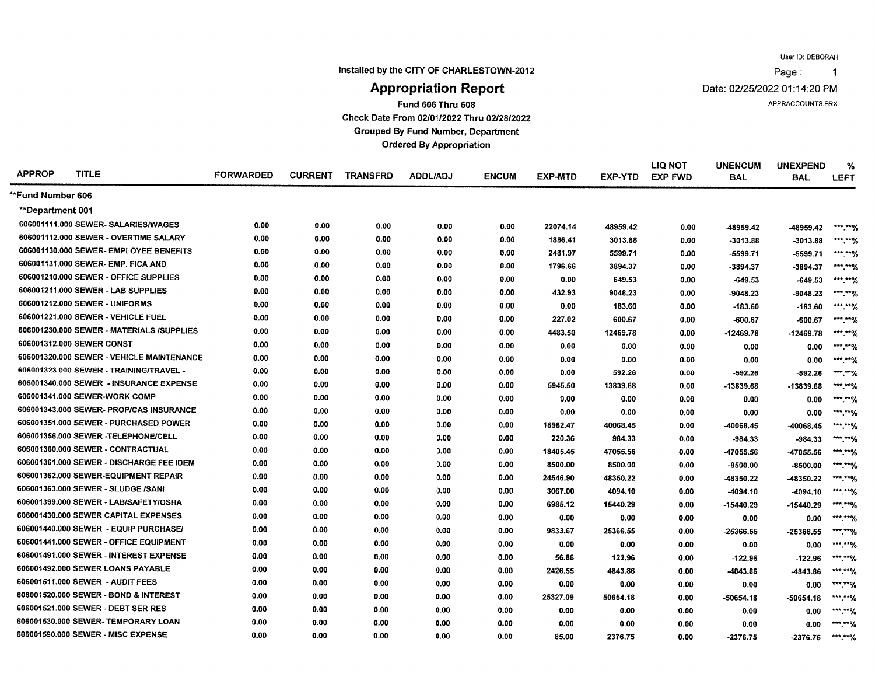$\mathbf{1}$ 

Page:

Installed by the CITY OF CHARLESTOWN-2012

 $\sim$   $\mu$ 

Date: 02/25/2022 01:14:20 PM

APPRACCOUNTS.FRX

#### **Appropriation Report Fund 606 Thru 608**

Check Date From 02/01/2022 Thru 02/28/2022

**Grouped By Fund Number, Department** 

**Ordered By Appropriation** 

| <b>APPROP</b>            | <b>TITLE</b>                              | <b>FORWARDED</b> | <b>CURRENT</b> | <b>TRANSFRD</b> | <b>ADDL/ADJ</b> | <b>ENCUM</b> | <b>EXP-MTD</b> | EXP-YTD  | <b>LIQ NOT</b><br><b>EXP FWD</b> | <b>UNENCUM</b><br><b>BAL</b> | <b>UNEXPEND</b><br><b>BAL</b> | %<br><b>LEFT</b>        |
|--------------------------|-------------------------------------------|------------------|----------------|-----------------|-----------------|--------------|----------------|----------|----------------------------------|------------------------------|-------------------------------|-------------------------|
| <b>**Fund Number 606</b> |                                           |                  |                |                 |                 |              |                |          |                                  |                              |                               |                         |
| **Department 001         |                                           |                  |                |                 |                 |              |                |          |                                  |                              |                               |                         |
|                          | 606001111.000 SEWER- SALARIES/WAGES       | 0.00             | 0.00           | 0.00            | 0.00            | 0.00         | 22074.14       | 48959.42 | 0.00                             | -48959.42                    | -48959.42                     | *** **%                 |
|                          | 606001112.000 SEWER - OVERTIME SALARY     | 0.00             | 0.00           | 0.00            | 0.00            | 0.00         | 1886.41        | 3013.88  | 0.00                             | $-3013.88$                   | $-3013.88$                    | ***.**%                 |
|                          | 606001130.000 SEWER- EMPLOYEE BENEFITS    | 0.00             | 0.00           | 0.00            | 0.00            | 0.00         | 2481.97        | 5599.71  | 0.00                             | $-5599.71$                   | $-5599.71$                    | ***.**%                 |
|                          | 606001131.000 SEWER- EMP. FICA AND        | 0.00             | 0.00           | 0.00            | 0.00            | 0.00         | 1796.66        | 3894.37  | 0.00                             | -3894.37                     | -3894.37                      | $***$ *** 9/            |
|                          | 606001210.000 SEWER - OFFICE SUPPLIES     | 0.00             | 0.00           | 0.00            | 0.00            | 0.00         | 0.00           | 649.53   | 0.00                             | -649.53                      | -649.53                       | $*****9$                |
|                          | 606001211.000 SEWER - LAB SUPPLIES        | 0.00             | 0.00           | 0.00            | 0.00            | 0.00         | 432.93         | 9048.23  | 0.00                             | $-9048.23$                   | $-9048.23$                    | *** ***/                |
|                          | 606001212.000 SEWER - UNIFORMS            | 0.00             | 0.00           | 0.00            | 0.00            | 0.00         | 0.00           | 183.60   | 0.00                             | $-183.60$                    | $-183.60$                     | $***$ *** $%$           |
|                          | 606001221.000 SEWER - VEHICLE FUEL        | 0.00             | 0.00           | 0.00            | 0.00            | 0.00         | 227.02         | 600.67   | 0.00                             | -600.67                      | -600.67                       | $***$ *** $%$           |
|                          | 606001230.000 SEWER - MATERIALS /SUPPLIES | 0.00             | 0.00           | 0.00            | 0.00            | 0.00         | 4483.50        | 12469.78 | 0.00                             | $-12469.78$                  | $-12469.78$                   | ***.**%                 |
|                          | 606001312,000 SEWER CONST                 | 0.00             | 0.00           | 0.00            | 0.00            | 0.00         | 0.00           | 0.00     | 0.00                             | 0.00                         | 0.00                          | *** **0/                |
|                          | 606001320.000 SEWER - VEHICLE MAINTENANCE | 0.00             | 0.00           | 0.00            | 0.00            | 0.00         | 0.00           | 0.00     | 0.00                             | 0.00                         | 0.00                          | $*****%$                |
|                          | 606001323.000 SEWER - TRAINING/TRAVEL -   | 0.00             | 0.00           | 0.00            | 0.00            | 0.00         | 0.00           | 592.26   | 0.00                             | $-592.26$                    | $-592.26$                     | $***$ *** $\frac{1}{2}$ |
|                          | 606001340.000 SEWER - INSURANCE EXPENSE   | 0.00             | 0.00           | 0.00            | 0.00            | 0.00         | 5945.50        | 13839.68 | 0.00                             | -13839.68                    | -13839.68                     | $***$ $***$             |
|                          | 606001341.000 SEWER-WORK COMP             | 0.00             | 0.00           | 0.00            | 0.00            | 0.00         | 0.00           | 0.00     | 0.00                             | 0.00                         | 0.00                          | *** *** /               |
|                          | 606001343.000 SEWER- PROP/CAS INSURANCE   | 0.00             | 0.00           | 0.00            | 0.00            | 0.00         | 0.00           | 0.00     | 0.00                             | 0.00                         | 0.00                          | $***$ $**$              |
|                          | 606001351.000 SEWER - PURCHASED POWER     | 0.00             | 0.00           | 0.00            | 0.00            | 0.00         | 16982.47       | 40068.45 | 0.00                             | -40068.45                    | -40068.45                     | ***.****/               |
|                          | 606001356.000 SEWER -TELEPHONE/CELL       | 0.00             | 0.00           | 0.00            | 0.00            | 0.00         | 220.36         | 984.33   | 0.00                             | $-984.33$                    | $-984.33$                     | *** *** $\frac{1}{2}$   |
|                          | 606001360.000 SEWER - CONTRACTUAL         | 0.00             | 0.00           | 0.00            | 0.00            | 0.00         | 18405.45       | 47055.56 | 0.00                             | -47055.56                    | -47055.56                     | ***.****/               |
|                          | 606001361.000 SEWER - DISCHARGE FEE IDEM  | 0.00             | 0.00           | 0.00            | 0.00            | 0.00         | 8500.00        | 8500.00  | 0.00                             | -8500.00                     | $-8500.00$                    | ***.**%                 |
|                          | 606001362.000 SEWER-EQUIPMENT REPAIR      | 0.00             | 0.00           | 0.00            | 0.00            | 0.00         | 24546.90       | 48350.22 | 0.00                             | -48350.22                    | -48350.22                     | $***$ *** $\frac{1}{2}$ |
|                          | 606001363.000 SEWER - SLUDGE /SANI        | 0.00             | 0.00           | 0.00            | 0.00            | 0.00         | 3067.00        | 4094.10  | 0.00                             | -4094.10                     | -4094.10                      | *** ***/                |
|                          | 606001399.000 SEWER - LAB/SAFETY/OSHA     | 0.00             | 0.00           | 0.00            | 0.00            | 0.00         | 6985.12        | 15440.29 | 0.00                             | -15440.29                    | $-15440.29$                   | ***.**%                 |
|                          | 606001430.000 SEWER CAPITAL EXPENSES      | 0.00             | 0.00           | 0.00            | 0.00            | 0.00         | 0.00           | 0.00     | 0.00                             | 0.00                         | 0.00                          | $***,**$                |
|                          | 606001440.000 SEWER - EQUIP PURCHASE/     | 0.00             | 0.00           | 0.00            | 0.00            | 0.00         | 9833.67        | 25366.55 | 0.00                             | -25366.55                    | -25366.55                     | $*****0/$               |
|                          | 606001441.000 SEWER - OFFICE EQUIPMENT    | 0.00             | 0.00           | 0.00            | 0.00            | 0.00         | 0.00           | 0.00     | 0.00                             | 0.00                         | 0.00                          | ***.**%                 |
|                          | 606001491.000 SEWER - INTEREST EXPENSE    | 0.00             | 0.00           | 0.00            | 0.00            | 0.00         | 56.86          | 122.96   | 0.00                             | -122.96                      | $-122.96$                     | *** ***/                |
|                          | 606001492.000 SEWER LOANS PAYABLE         | 0.00             | 0.00           | 0.00            | 0.00            | 0.00         | 2426.55        | 4843.86  | 0.00                             | -4843.86                     | -4843.86                      | $*****9$                |
|                          | 606001511.000 SEWER - AUDIT FEES          | 0.00             | 0.00           | 0.00            | 0.00            | 0.00         | 0.00           | 0.00     | 0.00                             | 0.00                         | 0.00                          | ***.**%                 |
|                          | 606001520.000 SEWER - BOND & INTEREST     | 0.00             | 0.00           | 0.00            | 0.00            | 0.00         | 25327.09       | 50654.18 | 0.00                             | -50654.18                    | $-50654.18$                   | *** **%                 |
|                          | 606001521.000 SEWER - DEBT SER RES        | 0.00             | 0.00           | 0.00            | 0.00            | 0.00         | 0.00           | 0.00     | 0.00                             | 0.00                         | 0.00                          | ***.**%                 |
|                          | 606001530.000 SEWER- TEMPORARY LOAN       | 0.00             | 0.00           | 0.00            | 0.00            | 0.00         | 0.00           | 0.00     | 0.00                             | 0.00                         | 0.00                          | ***.**%                 |
|                          | 606001590.000 SEWER - MISC EXPENSE        | 0.00             | 0.00           | 0.00            | 0.00            | 0.00         | 85.00          | 2376.75  | 0.00                             | $-2376.75$                   | -2376.75                      | $*****%$                |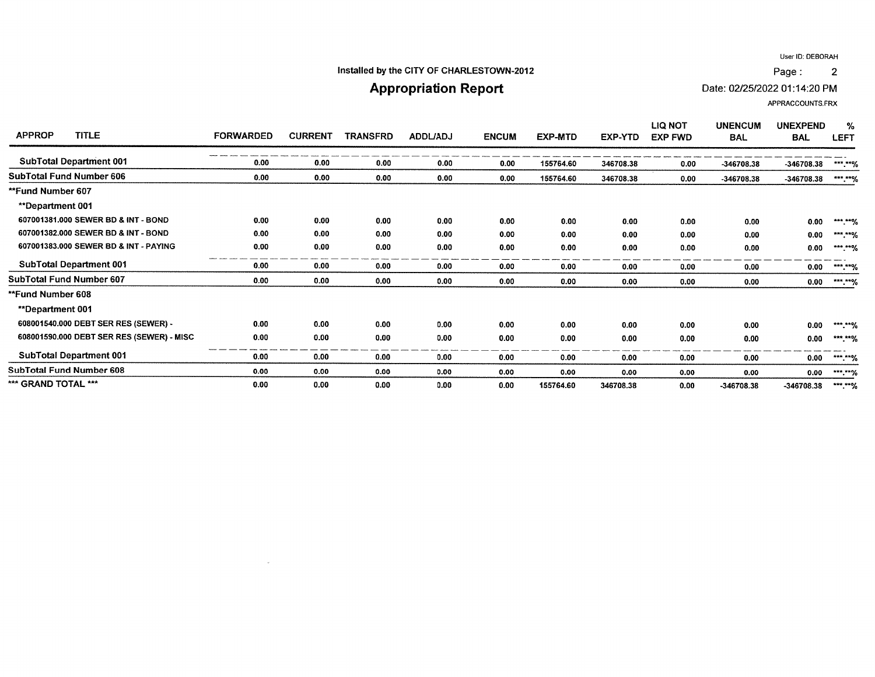#### Installed by the CITY OF CHARLESTOWN-2012

## **Appropriation Report**

Date: 02/25/2022 01:14:20 PM

APPRACCOUNTS.FRX

| <b>TITLE</b><br><b>APPROP</b>             | <b>FORWARDED</b> | <b>CURRENT</b> | TRANSFRD | <b>ADDL/ADJ</b> | <b>ENCUM</b> | <b>EXP-MTD</b> | EXP-YTD   | <b>LIQ NOT</b><br><b>EXP FWD</b> | <b>UNENCUM</b><br><b>BAL</b> | <b>UNEXPEND</b><br><b>BAL</b> | %<br><b>LEFT</b>           |
|-------------------------------------------|------------------|----------------|----------|-----------------|--------------|----------------|-----------|----------------------------------|------------------------------|-------------------------------|----------------------------|
| <b>SubTotal Department 001</b>            | 0.00             | 0.00           | 0.00     | 0.00            | 0.00         | 155764.60      | 346708.38 | 0.00                             | -346708.38                   | -346708.38                    | $***$ $*$ %                |
| <b>SubTotal Fund Number 606</b>           | 0.00             | 0.00           | 0.00     | 0.00            | 0.00         | 155764.60      | 346708.38 | 0.00                             | -346708.38                   | -346708.38                    | $***$ ** $\%$              |
| <b>**Fund Number 607</b>                  |                  |                |          |                 |              |                |           |                                  |                              |                               |                            |
| <b>**Department 001</b>                   |                  |                |          |                 |              |                |           |                                  |                              |                               |                            |
| 607001381.000 SEWER BD & INT - BOND       | 0.00             | 0.00           | 0.00     | 0.00            | 0.00         | 0.00           | 0.00      | 0.00                             | 0.00                         | 0.00                          | $***$ $**$ <sup>0</sup> /0 |
| 607001382,000 SEWER BD & INT - BOND       | 0.00             | 0.00           | 0.00     | 0.00            | 0.00         | 0.00           | 0.00      | 0.00                             | 0.00                         | 0.00                          | $***$ $**$ $\%$            |
| 607001383.000 SEWER BD & INT - PAYING     | 0.00             | 0.00           | 0.00     | 0.00            | 0.00         | 0.00           | 0.00      | 0.00                             | 0.00                         | 0.00                          | $*****%$                   |
| <b>SubTotal Department 001</b>            | 0.00             | 0.00           | 0.00     | 0.00            | 0.00         | 0.00           | 0.00      | 0.00                             | 0.00                         | 0.00                          | $***$ $**$ %               |
| SubTotal Fund Number 607                  | 0.00             | 0.00           | 0.00     | 0.00            | 0.00         | 0.00           | 0.00      | 0.00                             | 0.00                         | 0.00                          | ***.**%                    |
| **Fund Number 608                         |                  |                |          |                 |              |                |           |                                  |                              |                               |                            |
| **Department 001                          |                  |                |          |                 |              |                |           |                                  |                              |                               |                            |
| 608001540.000 DEBT SER RES (SEWER) -      | 0.00             | 0.00           | 0.00     | 0.00            | 0.00         | 0.00           | 0.00      | 0.00                             | 0.00                         | 0.00                          | ***.**%                    |
| 608001590.000 DEBT SER RES (SEWER) - MISC | 0.00             | 0.00           | 0.00     | 0.00            | 0.00         | 0.00           | 0.00      | 0.00                             | 0.00                         | 0.00                          | ***.**%                    |
| <b>SubTotal Department 001</b>            | 0.00             | 0.00           | 0.00     | 0.00            | 0.00         | 0.00           | 0.00      | 0.00                             | 0.00                         | 0.00                          | ***.**%                    |
| <b>SubTotal Fund Number 608</b>           | 0.00             | 0.00           | 0.00     | 0.00            | 0.00         | 0.00           | 0.00      | 0.00                             | 0.00                         | 0.00                          | $***,***$                  |
| *** GRAND TOTAL ***                       | 0.00             | 0.00           | 0.00     | 0.00            | 0.00         | 155764.60      | 346708.38 | 0.00                             | $-346708.38$                 | -346708.38                    | ***.**%                    |

 $\sim$ 

Page:  $\overline{2}$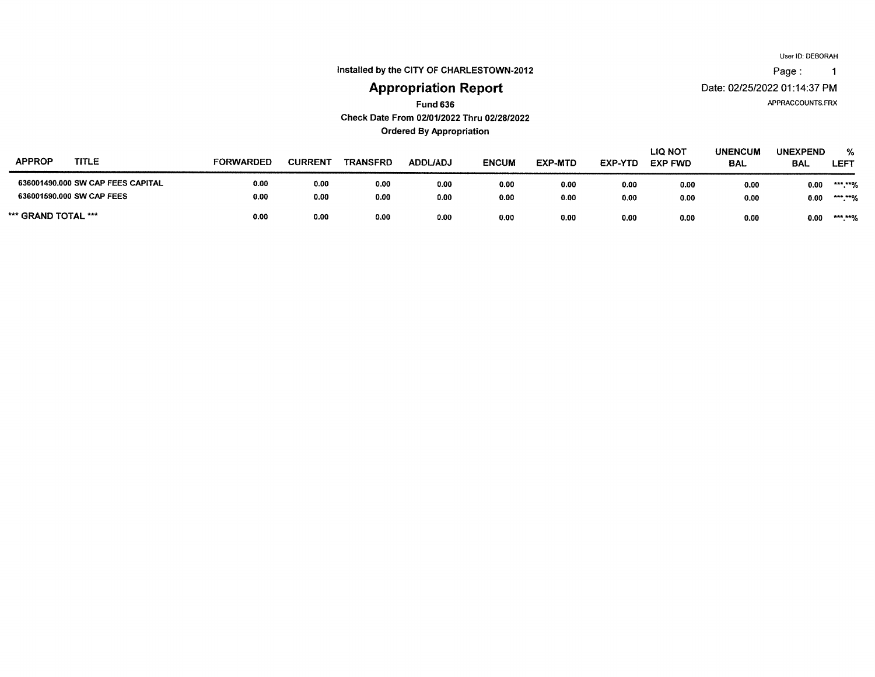Page:  $\overline{1}$ 

Installed by the CITY OF CHARLESTOWN-2012

## **Appropriation Report**

APPRACCOUNTS.FRX

Date: 02/25/2022 01:14:37 PM

**Fund 636** 

Check Date From 02/01/2022 Thru 02/28/2022

**Ordered By Appropriation** 

| <b>APPROP</b><br>TITLE            | <b>FORWARDED</b> | <b>CURRENT</b> | <b>TRANSFRD</b> | <b>ADDL/ADJ</b> | <b>ENCUM</b> | EXP-MTD | <b>EXP-YTD</b> | <b>LIQ NOT</b><br><b>EXP FWD</b> | <b>UNENCUM</b><br><b>BAL</b> | <b>UNEXPEND</b><br><b>BAL</b> | %<br><b>LEFT</b>    |
|-----------------------------------|------------------|----------------|-----------------|-----------------|--------------|---------|----------------|----------------------------------|------------------------------|-------------------------------|---------------------|
| 636001490.000 SW CAP FEES CAPITAL | 0.00             | 0.00           | 0.00            | 0.00            | 0.00         | 0.00    | 0.00           | 0.00                             | 0.00                         | 0.00                          | *** ***/<br>.       |
| 636001590.000 SW CAP FEES         | 0.00             | 0.00           | 0.00            | 0.00            | 0.00         | 0.00    | 0.00           | 0.00                             | 0.00                         | 0.00                          | $***+0/$<br>. 10    |
| *** GRAND TOTAL ***               | 0.00             | 0.00           | 0.00            | 0.00            | 0.00         | 0.00    | 0.00           | 0.00                             | 0.00                         | 0.00                          | $***$ $***$<br>- 70 |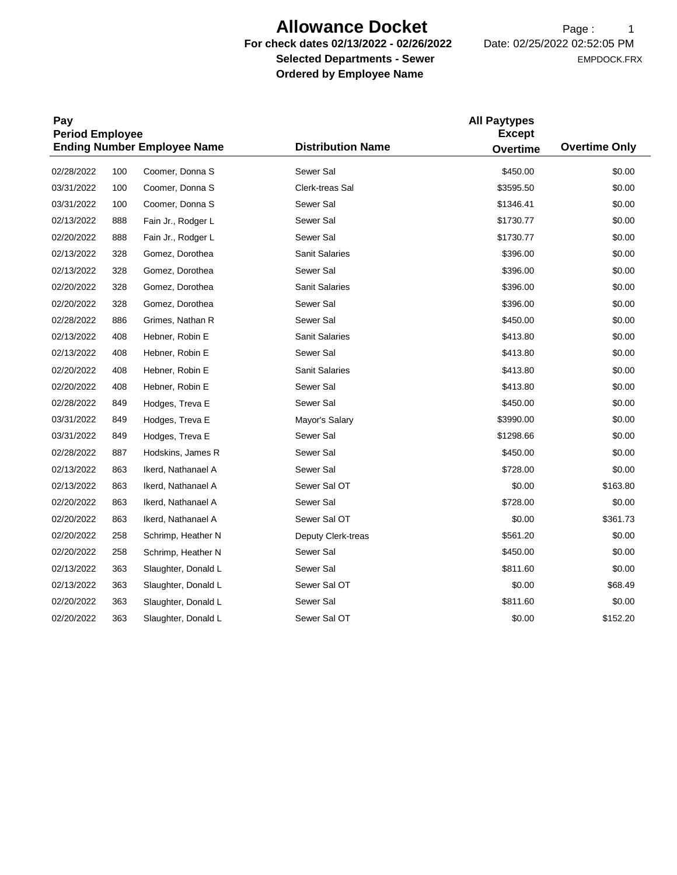## **Allowance Docket** Page: 1

**Selected Departments - Sewer <br>
EMPDOCK.FRX Ordered by Employee Name** 

**For check dates 02/13/2022 - 02/26/2022** Date: 02/25/2022 02:52:05 PM

| Pay<br><b>Period Employee</b> |     |                                    | <b>All Paytypes</b><br><b>Except</b> |                 |                      |  |  |  |
|-------------------------------|-----|------------------------------------|--------------------------------------|-----------------|----------------------|--|--|--|
|                               |     | <b>Ending Number Employee Name</b> | <b>Distribution Name</b>             | <b>Overtime</b> | <b>Overtime Only</b> |  |  |  |
| 02/28/2022                    | 100 | Coomer, Donna S                    | Sewer Sal                            | \$450.00        | \$0.00               |  |  |  |
| 03/31/2022                    | 100 | Coomer, Donna S                    | Clerk-treas Sal                      | \$3595.50       | \$0.00               |  |  |  |
| 03/31/2022                    | 100 | Coomer, Donna S                    | Sewer Sal                            | \$1346.41       | \$0.00               |  |  |  |
| 02/13/2022                    | 888 | Fain Jr., Rodger L                 | Sewer Sal                            | \$1730.77       | \$0.00               |  |  |  |
| 02/20/2022                    | 888 | Fain Jr., Rodger L                 | Sewer Sal                            | \$1730.77       | \$0.00               |  |  |  |
| 02/13/2022                    | 328 | Gomez, Dorothea                    | <b>Sanit Salaries</b>                | \$396.00        | \$0.00               |  |  |  |
| 02/13/2022                    | 328 | Gomez, Dorothea                    | Sewer Sal                            | \$396.00        | \$0.00               |  |  |  |
| 02/20/2022                    | 328 | Gomez, Dorothea                    | Sanit Salaries                       | \$396.00        | \$0.00               |  |  |  |
| 02/20/2022                    | 328 | Gomez, Dorothea                    | Sewer Sal                            | \$396.00        | \$0.00               |  |  |  |
| 02/28/2022                    | 886 | Grimes, Nathan R                   | Sewer Sal                            | \$450.00        | \$0.00               |  |  |  |
| 02/13/2022                    | 408 | Hebner, Robin E                    | <b>Sanit Salaries</b>                | \$413.80        | \$0.00               |  |  |  |
| 02/13/2022                    | 408 | Hebner, Robin E                    | Sewer Sal                            | \$413.80        | \$0.00               |  |  |  |
| 02/20/2022                    | 408 | Hebner, Robin E                    | <b>Sanit Salaries</b>                | \$413.80        | \$0.00               |  |  |  |
| 02/20/2022                    | 408 | Hebner, Robin E                    | Sewer Sal                            | \$413.80        | \$0.00               |  |  |  |
| 02/28/2022                    | 849 | Hodges, Treva E                    | Sewer Sal                            | \$450.00        | \$0.00               |  |  |  |
| 03/31/2022                    | 849 | Hodges, Treva E                    | Mayor's Salary                       | \$3990.00       | \$0.00               |  |  |  |
| 03/31/2022                    | 849 | Hodges, Treva E                    | Sewer Sal                            | \$1298.66       | \$0.00               |  |  |  |
| 02/28/2022                    | 887 | Hodskins, James R                  | Sewer Sal                            | \$450.00        | \$0.00               |  |  |  |
| 02/13/2022                    | 863 | Ikerd, Nathanael A                 | Sewer Sal                            | \$728.00        | \$0.00               |  |  |  |
| 02/13/2022                    | 863 | Ikerd, Nathanael A                 | Sewer Sal OT                         | \$0.00          | \$163.80             |  |  |  |
| 02/20/2022                    | 863 | Ikerd, Nathanael A                 | Sewer Sal                            | \$728.00        | \$0.00               |  |  |  |
| 02/20/2022                    | 863 | Ikerd, Nathanael A                 | Sewer Sal OT                         | \$0.00          | \$361.73             |  |  |  |
| 02/20/2022                    | 258 | Schrimp, Heather N                 | Deputy Clerk-treas                   | \$561.20        | \$0.00               |  |  |  |
| 02/20/2022                    | 258 | Schrimp, Heather N                 | Sewer Sal                            | \$450.00        | \$0.00               |  |  |  |
| 02/13/2022                    | 363 | Slaughter, Donald L                | Sewer Sal                            | \$811.60        | \$0.00               |  |  |  |
| 02/13/2022                    | 363 | Slaughter, Donald L                | Sewer Sal OT                         | \$0.00          | \$68.49              |  |  |  |
| 02/20/2022                    | 363 | Slaughter, Donald L                | Sewer Sal                            | \$811.60        | \$0.00               |  |  |  |
| 02/20/2022                    | 363 | Slaughter, Donald L                | Sewer Sal OT                         | \$0.00          | \$152.20             |  |  |  |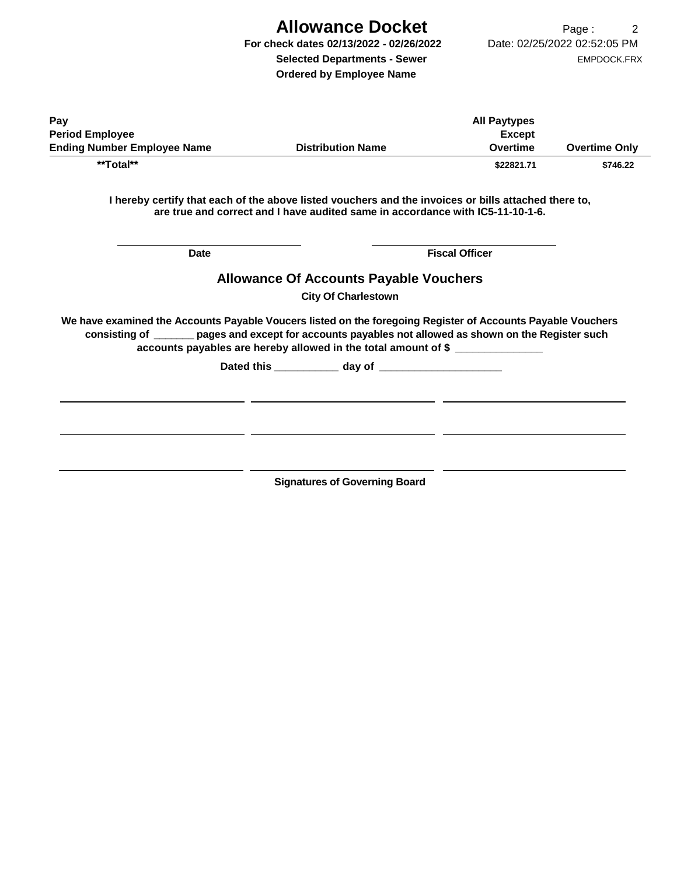# **Allowance Docket** Page: 2

**Ordered by Employee Name** 

| Pav                                |                          | <b>All Paytypes</b> |                      |
|------------------------------------|--------------------------|---------------------|----------------------|
| <b>Period Employee</b>             |                          | Except              |                      |
| <b>Ending Number Employee Name</b> | <b>Distribution Name</b> | Overtime            | <b>Overtime Only</b> |
| **Total**                          |                          | \$22821.71          | \$746.22             |

**I hereby certify that each of the above listed vouchers and the invoices or bills attached there to, are true and correct and I have audited same in accordance with IC5-11-10-1-6.** 

| <b>Date</b> |                                                                                                                                                                                                                                                                                         | <b>Fiscal Officer</b> |  |  |  |  |
|-------------|-----------------------------------------------------------------------------------------------------------------------------------------------------------------------------------------------------------------------------------------------------------------------------------------|-----------------------|--|--|--|--|
|             | <b>Allowance Of Accounts Payable Vouchers</b>                                                                                                                                                                                                                                           |                       |  |  |  |  |
|             | <b>City Of Charlestown</b>                                                                                                                                                                                                                                                              |                       |  |  |  |  |
|             | We have examined the Accounts Payable Voucers listed on the foregoing Register of Accounts Payable Vouchers<br>consisting of _______ pages and except for accounts payables not allowed as shown on the Register such<br>accounts payables are hereby allowed in the total amount of \$ |                       |  |  |  |  |
|             |                                                                                                                                                                                                                                                                                         |                       |  |  |  |  |
|             | <b>Signatures of Governing Board</b>                                                                                                                                                                                                                                                    |                       |  |  |  |  |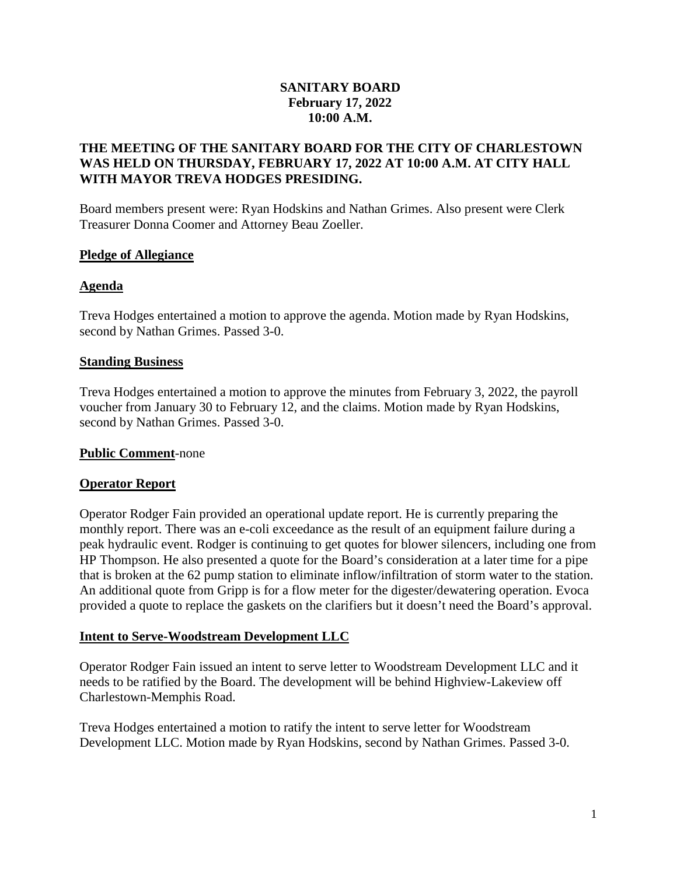### **SANITARY BOARD February 17, 2022 10:00 A.M.**

### **THE MEETING OF THE SANITARY BOARD FOR THE CITY OF CHARLESTOWN WAS HELD ON THURSDAY, FEBRUARY 17, 2022 AT 10:00 A.M. AT CITY HALL WITH MAYOR TREVA HODGES PRESIDING.**

Board members present were: Ryan Hodskins and Nathan Grimes. Also present were Clerk Treasurer Donna Coomer and Attorney Beau Zoeller.

#### **Pledge of Allegiance**

#### **Agenda**

Treva Hodges entertained a motion to approve the agenda. Motion made by Ryan Hodskins, second by Nathan Grimes. Passed 3-0.

### **Standing Business**

Treva Hodges entertained a motion to approve the minutes from February 3, 2022, the payroll voucher from January 30 to February 12, and the claims. Motion made by Ryan Hodskins, second by Nathan Grimes. Passed 3-0.

#### **Public Comment**-none

#### **Operator Report**

Operator Rodger Fain provided an operational update report. He is currently preparing the monthly report. There was an e-coli exceedance as the result of an equipment failure during a peak hydraulic event. Rodger is continuing to get quotes for blower silencers, including one from HP Thompson. He also presented a quote for the Board's consideration at a later time for a pipe that is broken at the 62 pump station to eliminate inflow/infiltration of storm water to the station. An additional quote from Gripp is for a flow meter for the digester/dewatering operation. Evoca provided a quote to replace the gaskets on the clarifiers but it doesn't need the Board's approval.

## **Intent to Serve-Woodstream Development LLC**

Operator Rodger Fain issued an intent to serve letter to Woodstream Development LLC and it needs to be ratified by the Board. The development will be behind Highview-Lakeview off Charlestown-Memphis Road.

Treva Hodges entertained a motion to ratify the intent to serve letter for Woodstream Development LLC. Motion made by Ryan Hodskins, second by Nathan Grimes. Passed 3-0.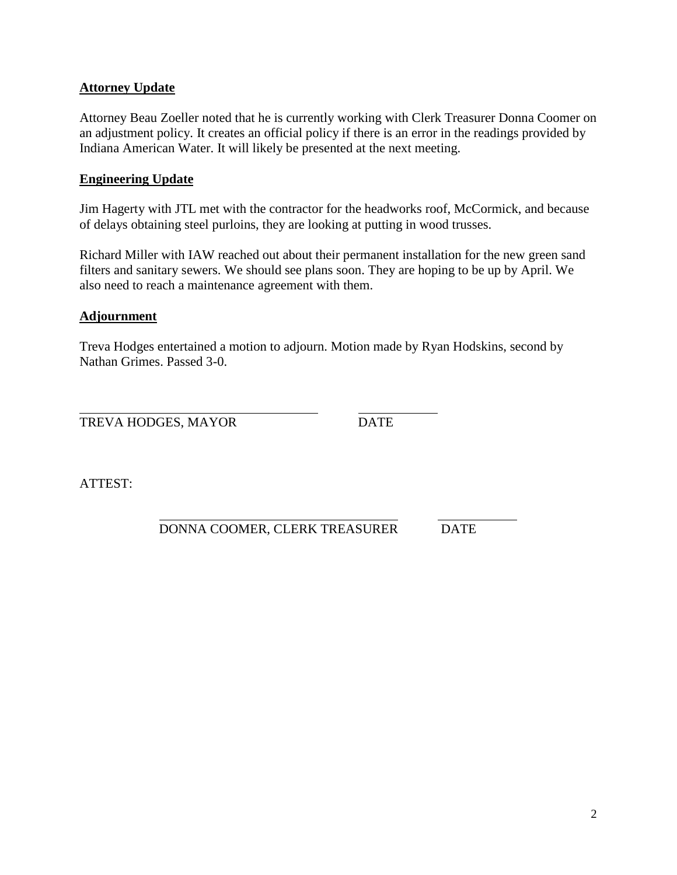## **Attorney Update**

Attorney Beau Zoeller noted that he is currently working with Clerk Treasurer Donna Coomer on an adjustment policy. It creates an official policy if there is an error in the readings provided by Indiana American Water. It will likely be presented at the next meeting.

#### **Engineering Update**

Jim Hagerty with JTL met with the contractor for the headworks roof, McCormick, and because of delays obtaining steel purloins, they are looking at putting in wood trusses.

Richard Miller with IAW reached out about their permanent installation for the new green sand filters and sanitary sewers. We should see plans soon. They are hoping to be up by April. We also need to reach a maintenance agreement with them.

### **Adjournment**

Treva Hodges entertained a motion to adjourn. Motion made by Ryan Hodskins, second by Nathan Grimes. Passed 3-0.

TREVA HODGES, MAYOR DATE

ATTEST:

DONNA COOMER, CLERK TREASURER DATE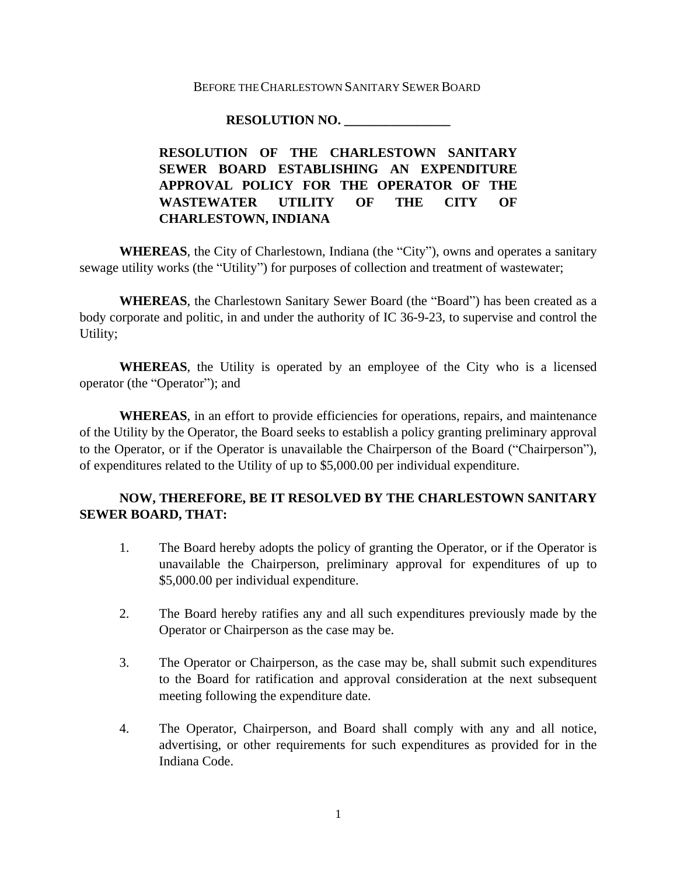#### BEFORE THE CHARLESTOWN SANITARY SEWER BOARD

#### **RESOLUTION NO. \_\_\_\_\_\_\_\_\_\_\_\_\_\_\_\_**

## **RESOLUTION OF THE CHARLESTOWN SANITARY SEWER BOARD ESTABLISHING AN EXPENDITURE APPROVAL POLICY FOR THE OPERATOR OF THE WASTEWATER UTILITY OF THE CITY OF CHARLESTOWN, INDIANA**

**WHEREAS**, the City of Charlestown, Indiana (the "City"), owns and operates a sanitary sewage utility works (the "Utility") for purposes of collection and treatment of wastewater;

**WHEREAS**, the Charlestown Sanitary Sewer Board (the "Board") has been created as a body corporate and politic, in and under the authority of IC 36-9-23, to supervise and control the Utility;

**WHEREAS**, the Utility is operated by an employee of the City who is a licensed operator (the "Operator"); and

**WHEREAS**, in an effort to provide efficiencies for operations, repairs, and maintenance of the Utility by the Operator, the Board seeks to establish a policy granting preliminary approval to the Operator, or if the Operator is unavailable the Chairperson of the Board ("Chairperson"), of expenditures related to the Utility of up to \$5,000.00 per individual expenditure.

### **NOW, THEREFORE, BE IT RESOLVED BY THE CHARLESTOWN SANITARY SEWER BOARD, THAT:**

- 1. The Board hereby adopts the policy of granting the Operator, or if the Operator is unavailable the Chairperson, preliminary approval for expenditures of up to \$5,000.00 per individual expenditure.
- 2. The Board hereby ratifies any and all such expenditures previously made by the Operator or Chairperson as the case may be.
- 3. The Operator or Chairperson, as the case may be, shall submit such expenditures to the Board for ratification and approval consideration at the next subsequent meeting following the expenditure date.
- 4. The Operator, Chairperson, and Board shall comply with any and all notice, advertising, or other requirements for such expenditures as provided for in the Indiana Code.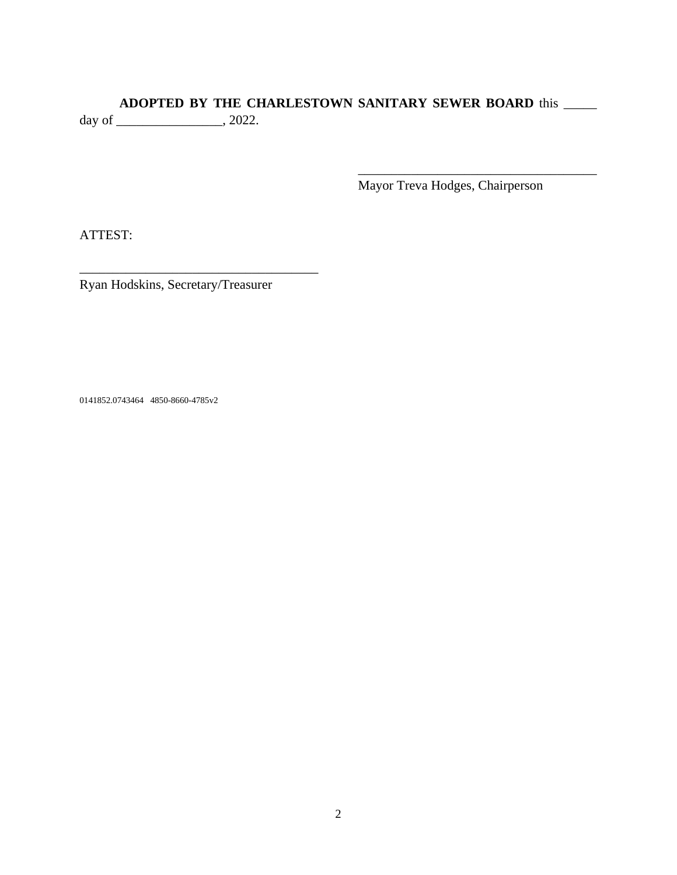## **ADOPTED BY THE CHARLESTOWN SANITARY SEWER BOARD** this \_\_\_\_\_

day of \_\_\_\_\_\_\_\_\_\_\_\_\_\_\_\_, 2022.

Mayor Treva Hodges, Chairperson

\_\_\_\_\_\_\_\_\_\_\_\_\_\_\_\_\_\_\_\_\_\_\_\_\_\_\_\_\_\_\_\_\_\_\_\_

ATTEST:

Ryan Hodskins, Secretary/Treasurer

\_\_\_\_\_\_\_\_\_\_\_\_\_\_\_\_\_\_\_\_\_\_\_\_\_\_\_\_\_\_\_\_\_\_\_\_

0141852.0743464 4850-8660-4785v2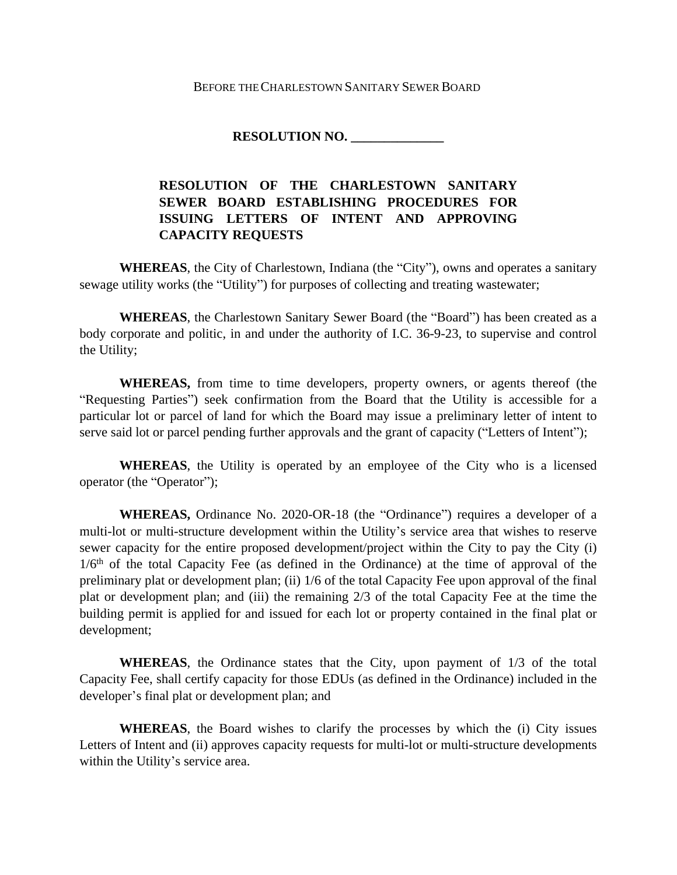#### BEFORE THE CHARLESTOWN SANITARY SEWER BOARD

#### **RESOLUTION NO. \_\_\_\_\_\_\_\_\_\_\_\_\_\_**

## **RESOLUTION OF THE CHARLESTOWN SANITARY SEWER BOARD ESTABLISHING PROCEDURES FOR ISSUING LETTERS OF INTENT AND APPROVING CAPACITY REQUESTS**

**WHEREAS**, the City of Charlestown, Indiana (the "City"), owns and operates a sanitary sewage utility works (the "Utility") for purposes of collecting and treating wastewater;

**WHEREAS**, the Charlestown Sanitary Sewer Board (the "Board") has been created as a body corporate and politic, in and under the authority of I.C. 36-9-23, to supervise and control the Utility;

**WHEREAS,** from time to time developers, property owners, or agents thereof (the "Requesting Parties") seek confirmation from the Board that the Utility is accessible for a particular lot or parcel of land for which the Board may issue a preliminary letter of intent to serve said lot or parcel pending further approvals and the grant of capacity ("Letters of Intent");

**WHEREAS**, the Utility is operated by an employee of the City who is a licensed operator (the "Operator");

**WHEREAS,** Ordinance No. 2020-OR-18 (the "Ordinance") requires a developer of a multi-lot or multi-structure development within the Utility's service area that wishes to reserve sewer capacity for the entire proposed development/project within the City to pay the City (i) 1/6th of the total Capacity Fee (as defined in the Ordinance) at the time of approval of the preliminary plat or development plan; (ii) 1/6 of the total Capacity Fee upon approval of the final plat or development plan; and (iii) the remaining 2/3 of the total Capacity Fee at the time the building permit is applied for and issued for each lot or property contained in the final plat or development;

**WHEREAS**, the Ordinance states that the City, upon payment of 1/3 of the total Capacity Fee, shall certify capacity for those EDUs (as defined in the Ordinance) included in the developer's final plat or development plan; and

**WHEREAS**, the Board wishes to clarify the processes by which the (i) City issues Letters of Intent and (ii) approves capacity requests for multi-lot or multi-structure developments within the Utility's service area.